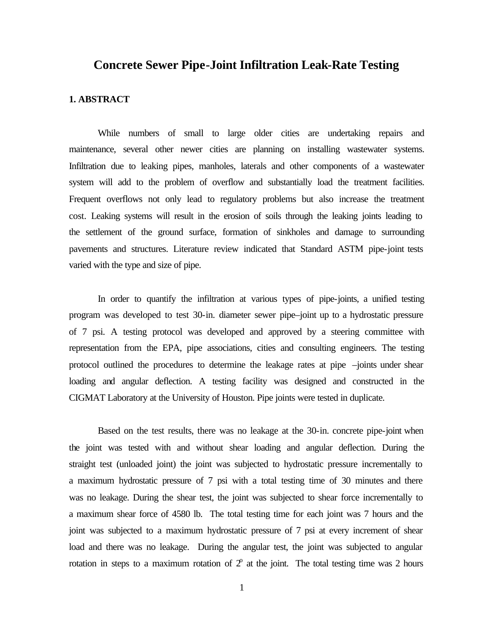# **Concrete Sewer Pipe-Joint Infiltration Leak-Rate Testing**

### **1. ABSTRACT**

While numbers of small to large older cities are undertaking repairs and maintenance, several other newer cities are planning on installing wastewater systems. Infiltration due to leaking pipes, manholes, laterals and other components of a wastewater system will add to the problem of overflow and substantially load the treatment facilities. Frequent overflows not only lead to regulatory problems but also increase the treatment cost. Leaking systems will result in the erosion of soils through the leaking joints leading to the settlement of the ground surface, formation of sinkholes and damage to surrounding pavements and structures. Literature review indicated that Standard ASTM pipe-joint tests varied with the type and size of pipe.

In order to quantify the infiltration at various types of pipe-joints, a unified testing program was developed to test 30-in. diameter sewer pipe–joint up to a hydrostatic pressure of 7 psi. A testing protocol was developed and approved by a steering committee with representation from the EPA, pipe associations, cities and consulting engineers. The testing protocol outlined the procedures to determine the leakage rates at pipe –joints under shear loading and angular deflection. A testing facility was designed and constructed in the CIGMAT Laboratory at the University of Houston. Pipe joints were tested in duplicate.

Based on the test results, there was no leakage at the 30-in. concrete pipe-joint when the joint was tested with and without shear loading and angular deflection. During the straight test (unloaded joint) the joint was subjected to hydrostatic pressure incrementally to a maximum hydrostatic pressure of 7 psi with a total testing time of 30 minutes and there was no leakage. During the shear test, the joint was subjected to shear force incrementally to a maximum shear force of 4580 lb. The total testing time for each joint was 7 hours and the joint was subjected to a maximum hydrostatic pressure of 7 psi at every increment of shear load and there was no leakage. During the angular test, the joint was subjected to angular rotation in steps to a maximum rotation of  $2^{\circ}$  at the joint. The total testing time was 2 hours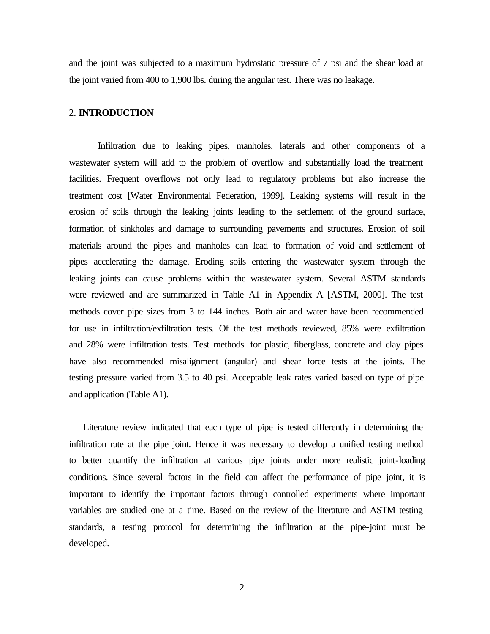and the joint was subjected to a maximum hydrostatic pressure of 7 psi and the shear load at the joint varied from 400 to 1,900 lbs. during the angular test. There was no leakage.

## 2. **INTRODUCTION**

Infiltration due to leaking pipes, manholes, laterals and other components of a wastewater system will add to the problem of overflow and substantially load the treatment facilities. Frequent overflows not only lead to regulatory problems but also increase the treatment cost [Water Environmental Federation, 1999]. Leaking systems will result in the erosion of soils through the leaking joints leading to the settlement of the ground surface, formation of sinkholes and damage to surrounding pavements and structures. Erosion of soil materials around the pipes and manholes can lead to formation of void and settlement of pipes accelerating the damage. Eroding soils entering the wastewater system through the leaking joints can cause problems within the wastewater system. Several ASTM standards were reviewed and are summarized in Table A1 in Appendix A [ASTM, 2000]. The test methods cover pipe sizes from 3 to 144 inches. Both air and water have been recommended for use in infiltration/exfiltration tests. Of the test methods reviewed, 85% were exfiltration and 28% were infiltration tests. Test methods for plastic, fiberglass, concrete and clay pipes have also recommended misalignment (angular) and shear force tests at the joints. The testing pressure varied from 3.5 to 40 psi. Acceptable leak rates varied based on type of pipe and application (Table A1).

Literature review indicated that each type of pipe is tested differently in determining the infiltration rate at the pipe joint. Hence it was necessary to develop a unified testing method to better quantify the infiltration at various pipe joints under more realistic joint-loading conditions. Since several factors in the field can affect the performance of pipe joint, it is important to identify the important factors through controlled experiments where important variables are studied one at a time. Based on the review of the literature and ASTM testing standards, a testing protocol for determining the infiltration at the pipe-joint must be developed.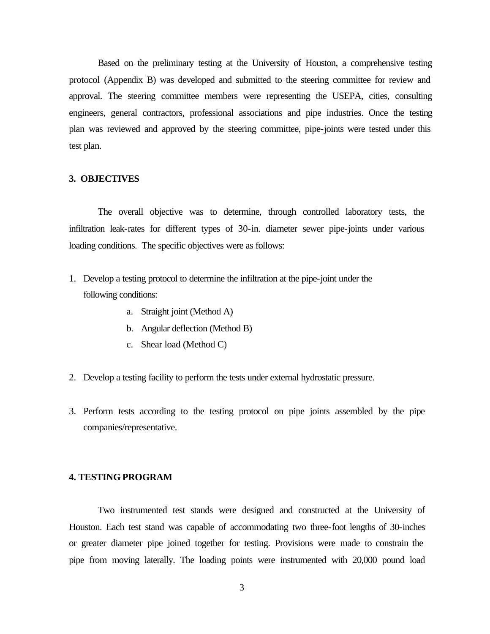Based on the preliminary testing at the University of Houston, a comprehensive testing protocol (Appendix B) was developed and submitted to the steering committee for review and approval. The steering committee members were representing the USEPA, cities, consulting engineers, general contractors, professional associations and pipe industries. Once the testing plan was reviewed and approved by the steering committee, pipe-joints were tested under this test plan.

#### **3. OBJECTIVES**

The overall objective was to determine, through controlled laboratory tests, the infiltration leak-rates for different types of 30-in. diameter sewer pipe-joints under various loading conditions. The specific objectives were as follows:

- 1. Develop a testing protocol to determine the infiltration at the pipe-joint under the following conditions:
	- a. Straight joint (Method A)
	- b. Angular deflection (Method B)
	- c. Shear load (Method C)
- 2. Develop a testing facility to perform the tests under external hydrostatic pressure.
- 3. Perform tests according to the testing protocol on pipe joints assembled by the pipe companies/representative.

# **4. TESTING PROGRAM**

Two instrumented test stands were designed and constructed at the University of Houston. Each test stand was capable of accommodating two three-foot lengths of 30-inches or greater diameter pipe joined together for testing. Provisions were made to constrain the pipe from moving laterally. The loading points were instrumented with 20,000 pound load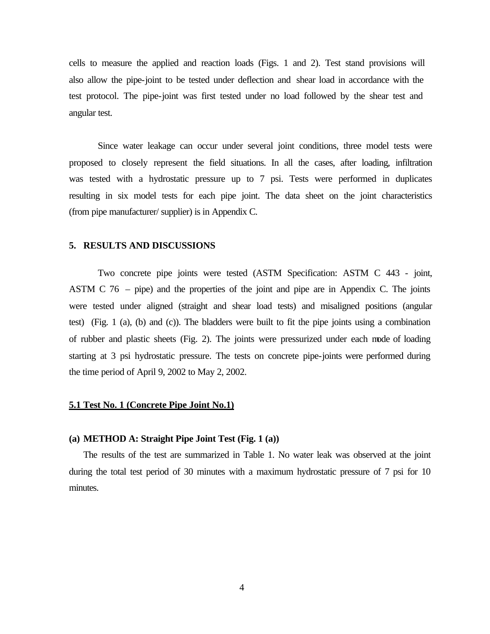cells to measure the applied and reaction loads (Figs. 1 and 2). Test stand provisions will also allow the pipe-joint to be tested under deflection and shear load in accordance with the test protocol. The pipe-joint was first tested under no load followed by the shear test and angular test.

Since water leakage can occur under several joint conditions, three model tests were proposed to closely represent the field situations. In all the cases, after loading, infiltration was tested with a hydrostatic pressure up to 7 psi. Tests were performed in duplicates resulting in six model tests for each pipe joint. The data sheet on the joint characteristics (from pipe manufacturer/ supplier) is in Appendix C.

#### **5. RESULTS AND DISCUSSIONS**

Two concrete pipe joints were tested (ASTM Specification: ASTM C 443 - joint, ASTM C 76 – pipe) and the properties of the joint and pipe are in Appendix C. The joints were tested under aligned (straight and shear load tests) and misaligned positions (angular test) (Fig. 1 (a), (b) and (c)). The bladders were built to fit the pipe joints using a combination of rubber and plastic sheets (Fig. 2). The joints were pressurized under each mode of loading starting at 3 psi hydrostatic pressure. The tests on concrete pipe-joints were performed during the time period of April 9, 2002 to May 2, 2002.

#### **5.1 Test No. 1 (Concrete Pipe Joint No.1)**

### **(a) METHOD A: Straight Pipe Joint Test (Fig. 1 (a))**

The results of the test are summarized in Table 1. No water leak was observed at the joint during the total test period of 30 minutes with a maximum hydrostatic pressure of 7 psi for 10 minutes.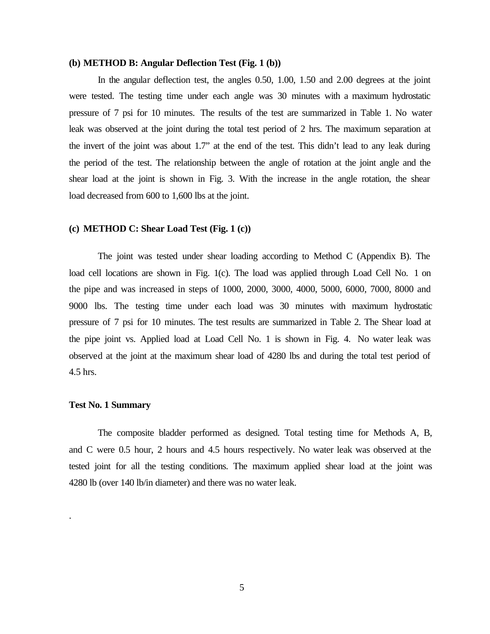#### **(b) METHOD B: Angular Deflection Test (Fig. 1 (b))**

In the angular deflection test, the angles 0.50, 1.00, 1.50 and 2.00 degrees at the joint were tested. The testing time under each angle was 30 minutes with a maximum hydrostatic pressure of 7 psi for 10 minutes. The results of the test are summarized in Table 1. No water leak was observed at the joint during the total test period of 2 hrs. The maximum separation at the invert of the joint was about 1.7" at the end of the test. This didn't lead to any leak during the period of the test. The relationship between the angle of rotation at the joint angle and the shear load at the joint is shown in Fig. 3. With the increase in the angle rotation, the shear load decreased from 600 to 1,600 lbs at the joint.

## **(c) METHOD C: Shear Load Test (Fig. 1 (c))**

The joint was tested under shear loading according to Method C (Appendix B). The load cell locations are shown in Fig. 1(c). The load was applied through Load Cell No. 1 on the pipe and was increased in steps of 1000, 2000, 3000, 4000, 5000, 6000, 7000, 8000 and 9000 lbs. The testing time under each load was 30 minutes with maximum hydrostatic pressure of 7 psi for 10 minutes. The test results are summarized in Table 2. The Shear load at the pipe joint vs. Applied load at Load Cell No. 1 is shown in Fig. 4. No water leak was observed at the joint at the maximum shear load of 4280 lbs and during the total test period of 4.5 hrs.

#### **Test No. 1 Summary**

.

The composite bladder performed as designed. Total testing time for Methods A, B, and C were 0.5 hour, 2 hours and 4.5 hours respectively. No water leak was observed at the tested joint for all the testing conditions. The maximum applied shear load at the joint was 4280 lb (over 140 lb/in diameter) and there was no water leak.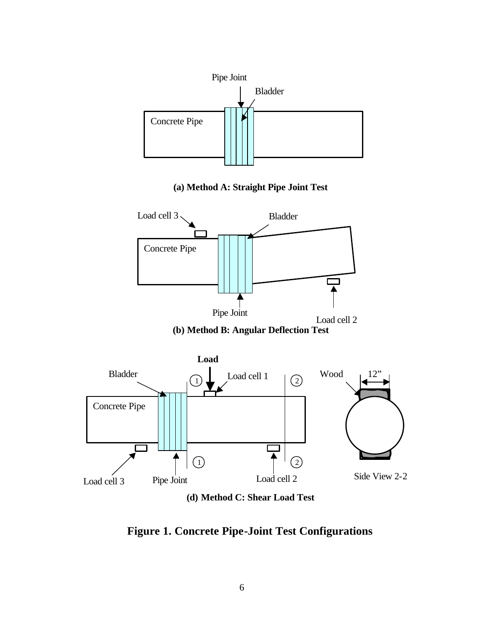

**(a) Method A: Straight Pipe Joint Test**



**(b) Method B: Angular Deflection Test**



**(d) Method C: Shear Load Test**

**Figure 1. Concrete Pipe-Joint Test Configurations**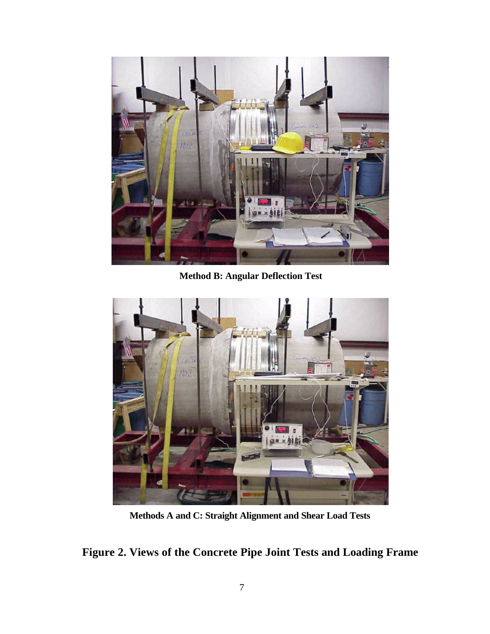

**Method B: Angular Deflection Test**



**Methods A and C: Straight Alignment and Shear Load Tests**

**Figure 2. Views of the Concrete Pipe Joint Tests and Loading Frame**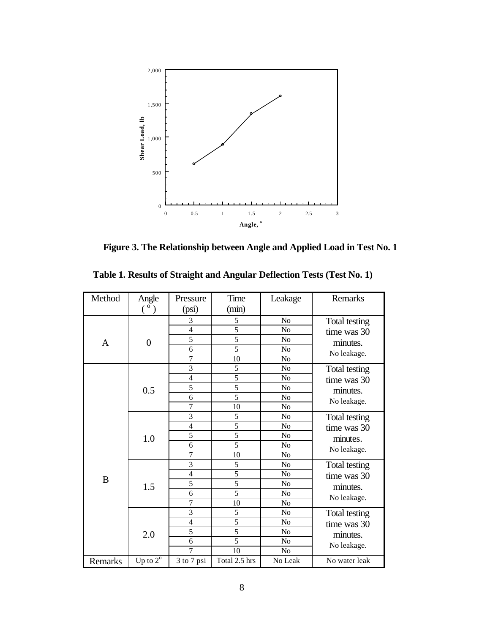

**Figure 3. The Relationship between Angle and Applied Load in Test No. 1**

| Method       | Angle                                     | Pressure                | Time           | Leakage        | Remarks       |
|--------------|-------------------------------------------|-------------------------|----------------|----------------|---------------|
|              | $(\begin{smallmatrix}0\end{smallmatrix})$ | (psi)                   | (min)          |                |               |
|              |                                           | 3                       | 5              | N <sub>o</sub> | Total testing |
|              | $\boldsymbol{0}$                          | $\overline{4}$          | 5              | N <sub>o</sub> | time was 30   |
| $\mathbf{A}$ |                                           | 5                       | 5              | N <sub>o</sub> | minutes.      |
|              |                                           | 6                       | $\overline{5}$ | No             | No leakage.   |
|              |                                           | $\overline{7}$          | 10             | No             |               |
|              |                                           | 3                       | 5              | No             | Total testing |
|              |                                           | $\overline{4}$          | 5              | No             | time was 30   |
|              | 0.5                                       | 5                       | 5              | N <sub>o</sub> | minutes.      |
|              |                                           | 6                       | $\overline{5}$ | No             | No leakage.   |
|              |                                           | $\overline{7}$          | 10             | No             |               |
| B            | 1.0                                       | 3                       | 5              | $\rm No$       | Total testing |
|              |                                           | $\overline{4}$          | $\overline{5}$ | N <sub>o</sub> | time was 30   |
|              |                                           | 5                       | $\overline{5}$ | No             | minutes.      |
|              |                                           | 6                       | 5              | No             | No leakage.   |
|              |                                           | $\overline{7}$          | 10             | No             |               |
|              | 1.5                                       | $\overline{3}$          | 5              | No             | Total testing |
|              |                                           | $\overline{4}$          | $\overline{5}$ | N <sub>0</sub> | time was 30   |
|              |                                           | 5                       | $\overline{5}$ | No             | minutes.      |
|              |                                           | 6                       | $\overline{5}$ | N <sub>o</sub> | No leakage.   |
|              |                                           | $\overline{7}$          | 10             | No             |               |
|              | 2.0                                       | 3                       | 5              | No             | Total testing |
|              |                                           | $\overline{4}$          | $\overline{5}$ | No             | time was 30   |
|              |                                           | 5                       | $\overline{5}$ | N <sub>o</sub> | minutes.      |
|              |                                           | 6                       | $\overline{5}$ | N <sub>o</sub> | No leakage.   |
|              |                                           | $\overline{7}$          | 10             | No             |               |
| Remarks      | Up to $2^{\circ}$                         | $\overline{3}$ to 7 psi | Total 2.5 hrs  | No Leak        | No water leak |

 **Table 1. Results of Straight and Angular Deflection Tests (Test No. 1)**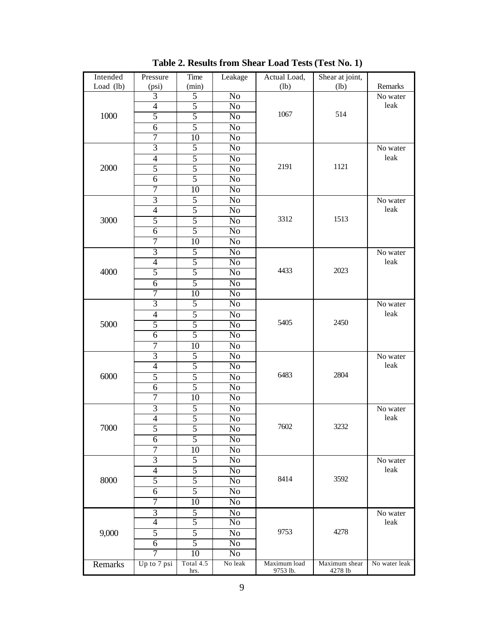| Intended  | Pressure                 | Time           | Leakage         | Actual Load, | Shear at joint, |                  |
|-----------|--------------------------|----------------|-----------------|--------------|-----------------|------------------|
| Load (lb) | (psi)                    | (min)          |                 | (lb)         | (lb)            | Remarks          |
| 1000      | $\overline{3}$           | 5              | N <sub>o</sub>  |              |                 | No water         |
|           | $\overline{\mathcal{A}}$ | 5              | N <sub>0</sub>  |              |                 | leak             |
|           | 5                        | 5              | $\overline{No}$ | 1067         | 514             |                  |
|           | 6                        | $\overline{5}$ | $\overline{No}$ |              |                 |                  |
|           | 7                        | 10             | N <sub>0</sub>  |              |                 |                  |
|           | $\overline{3}$           | 5              | No              |              |                 | No water         |
| 2000      | $\overline{4}$           | 5              | N <sub>o</sub>  | 2191         | 1121            | leak             |
|           | 5                        | 5              | N <sub>0</sub>  |              |                 |                  |
|           | 6                        | $\overline{5}$ | N <sub>o</sub>  |              |                 |                  |
|           | 7                        | 10             | $\overline{No}$ |              |                 |                  |
|           | $\overline{3}$           | 5              | N <sub>0</sub>  |              | 1513            | No water         |
|           | $\overline{4}$           | 5              | No              |              |                 | leak             |
| 3000      | 5                        | 5              | N <sub>o</sub>  | 3312         |                 |                  |
|           | $\boldsymbol{6}$         | 5              | N <sub>0</sub>  |              |                 |                  |
|           | 7                        | 10             | $\overline{No}$ |              |                 |                  |
|           | $\overline{3}$           | $\overline{5}$ | $\overline{No}$ |              |                 | No water         |
|           | $\overline{\mathcal{A}}$ | 5              | N <sub>0</sub>  |              | 2023            | leak             |
| 4000      | 5                        | 5              | No              | 4433         |                 |                  |
|           | $\overline{6}$           | 5              | N <sub>o</sub>  |              |                 |                  |
|           | $\overline{7}$           | 10             | N <sub>0</sub>  |              |                 |                  |
|           | $\overline{3}$           | 5              | N <sub>o</sub>  | 5405         | 2450            | No water         |
|           | $\overline{4}$           | 5              | $\overline{No}$ |              |                 | leak             |
| 5000      | 5                        | 5              | N <sub>0</sub>  |              |                 |                  |
|           | $\boldsymbol{6}$         | 5              | No              |              |                 |                  |
|           | $\overline{7}$           | 10             | No              |              |                 |                  |
|           | $\overline{\mathbf{3}}$  | 5              | N <sub>0</sub>  |              |                 | No water         |
|           | $\overline{\mathcal{A}}$ | 5              | $\overline{No}$ |              |                 | leak             |
| 6000      | 5                        | 5              | $\overline{No}$ | 6483         | 2804            |                  |
|           | 6                        | 5              | N <sub>0</sub>  |              |                 |                  |
|           | 7                        | 10             | No              |              |                 |                  |
|           | $\overline{3}$           | 5              | N <sub>o</sub>  |              |                 | No water         |
| 7000      | $\overline{\mathcal{A}}$ | 5              | No              |              |                 | leak             |
|           | 5                        | 5              | No              | 7602         | 3232            |                  |
|           | 6                        | $\overline{5}$ | No              |              |                 |                  |
|           | 7                        | 10             | No              |              |                 |                  |
|           | $\overline{3}$           | 5              | No              |              |                 | No water         |
|           | $\overline{4}$           | 5              | N <sub>0</sub>  | 8414         |                 | leak             |
| 8000      | 5                        | 5              | No              |              | 3592            |                  |
|           | 6                        | 5              | No              |              |                 |                  |
|           | 7                        | 10             | No              |              |                 |                  |
|           | $\overline{3}$           | 5              | No              |              |                 |                  |
| 9,000     | $\overline{4}$           | 5              | No              |              |                 | No water<br>leak |
|           | 5                        | 5              | No              | 9753         | 4278            |                  |
|           |                          | $\overline{5}$ |                 |              |                 |                  |
|           | 6<br>$\overline{7}$      | 10             | No<br>No        |              |                 |                  |
|           | Up to 7 psi              | Total 4.5      | No leak         | Maximum load | Maximum shear   | No water leak    |
| Remarks   |                          | hrs.           |                 | 9753 lb.     | 4278 lb         |                  |

**Table 2. Results from Shear Load Tests (Test No. 1)**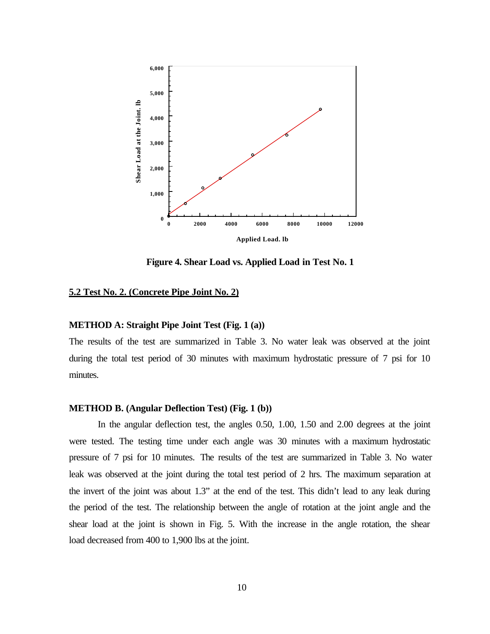

**Figure 4. Shear Load vs. Applied Load in Test No. 1**

# **5.2 Test No. 2. (Concrete Pipe Joint No. 2)**

## **METHOD A: Straight Pipe Joint Test (Fig. 1 (a))**

The results of the test are summarized in Table 3. No water leak was observed at the joint during the total test period of 30 minutes with maximum hydrostatic pressure of 7 psi for 10 minutes.

#### **METHOD B. (Angular Deflection Test) (Fig. 1 (b))**

In the angular deflection test, the angles 0.50, 1.00, 1.50 and 2.00 degrees at the joint were tested. The testing time under each angle was 30 minutes with a maximum hydrostatic pressure of 7 psi for 10 minutes. The results of the test are summarized in Table 3. No water leak was observed at the joint during the total test period of 2 hrs. The maximum separation at the invert of the joint was about 1.3" at the end of the test. This didn't lead to any leak during the period of the test. The relationship between the angle of rotation at the joint angle and the shear load at the joint is shown in Fig. 5. With the increase in the angle rotation, the shear load decreased from 400 to 1,900 lbs at the joint.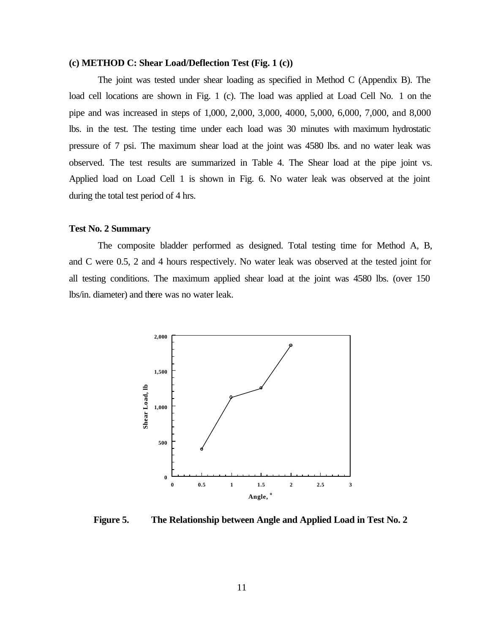# **(c) METHOD C: Shear Load/Deflection Test (Fig. 1 (c))**

The joint was tested under shear loading as specified in Method C (Appendix B). The load cell locations are shown in Fig. 1 (c). The load was applied at Load Cell No. 1 on the pipe and was increased in steps of 1,000, 2,000, 3,000, 4000, 5,000, 6,000, 7,000, and 8,000 lbs. in the test. The testing time under each load was 30 minutes with maximum hydrostatic pressure of 7 psi. The maximum shear load at the joint was 4580 lbs. and no water leak was observed. The test results are summarized in Table 4. The Shear load at the pipe joint vs. Applied load on Load Cell 1 is shown in Fig. 6. No water leak was observed at the joint during the total test period of 4 hrs.

## **Test No. 2 Summary**

The composite bladder performed as designed. Total testing time for Method A, B, and C were 0.5, 2 and 4 hours respectively. No water leak was observed at the tested joint for all testing conditions. The maximum applied shear load at the joint was 4580 lbs. (over 150 lbs/in. diameter) and there was no water leak.



**Figure 5. The Relationship between Angle and Applied Load in Test No. 2**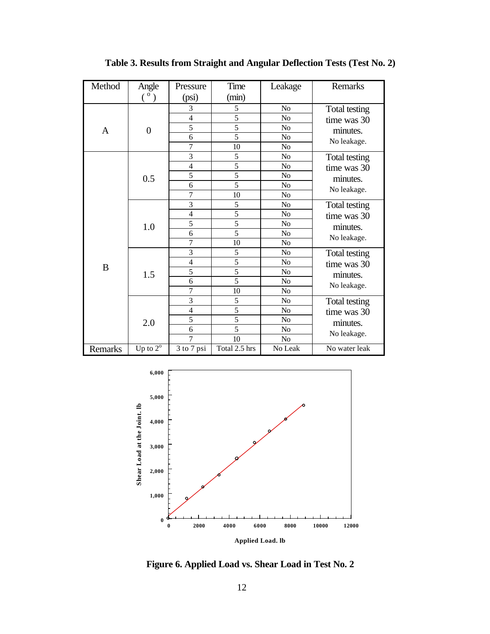| Method       | Angle                                     | Pressure       | Time<br>Leakage |                | Remarks       |
|--------------|-------------------------------------------|----------------|-----------------|----------------|---------------|
|              | $(\begin{smallmatrix}0\end{smallmatrix})$ | (psi)          | (min)           |                |               |
|              | $\boldsymbol{0}$                          | 3              | 5               | No             | Total testing |
|              |                                           | $\overline{4}$ | 5               | No             | time was 30   |
| A            |                                           | $\overline{5}$ | $\overline{5}$  | No             | minutes.      |
|              |                                           | 6              | 5               | No             | No leakage.   |
|              |                                           | $\overline{7}$ | 10              | No             |               |
|              |                                           | 3              | 5               | No             | Total testing |
|              |                                           | $\overline{4}$ | 5               | N <sub>o</sub> | time was 30   |
|              | 0.5                                       | 5              | 5               | N <sub>o</sub> | minutes.      |
|              |                                           | 6              | 5               | N <sub>o</sub> | No leakage.   |
|              |                                           | $\overline{7}$ | 10              | N <sub>o</sub> |               |
| $\, {\bf B}$ | 1.0                                       | 3              | 5               | N <sub>o</sub> | Total testing |
|              |                                           | $\overline{4}$ | $\overline{5}$  | No             | time was 30   |
|              |                                           | 5              | 5               | No             | minutes.      |
|              |                                           | 6              | $\overline{5}$  | No             | No leakage.   |
|              |                                           | $\overline{7}$ | 10              | N <sub>o</sub> |               |
|              | 1.5                                       | 3              | 5               | N <sub>0</sub> | Total testing |
|              |                                           | $\overline{4}$ | $\frac{5}{5}$   | No             | time was 30   |
|              |                                           | $\overline{5}$ |                 | No             | minutes.      |
|              |                                           | 6              | $\overline{5}$  | No             | No leakage.   |
|              |                                           | $\overline{7}$ | 10              | N <sub>0</sub> |               |
|              | 2.0                                       | 3              | 5               | N <sub>0</sub> | Total testing |
|              |                                           | $\overline{4}$ | $\overline{5}$  | N <sub>o</sub> | time was 30   |
|              |                                           | $\overline{5}$ | 5               | N <sub>o</sub> | minutes.      |
|              |                                           | 6              | 5               | No             | No leakage.   |
|              |                                           | $\overline{7}$ | 10              | N <sub>0</sub> |               |
| Remarks      | Up to $2^{\overline{0}}$                  | 3 to 7 psi     | Total 2.5 hrs   | No Leak        | No water leak |

**Table 3. Results from Straight and Angular Deflection Tests (Test No. 2)**



**Applied Load. lb**

**Figure 6. Applied Load vs. Shear Load in Test No. 2**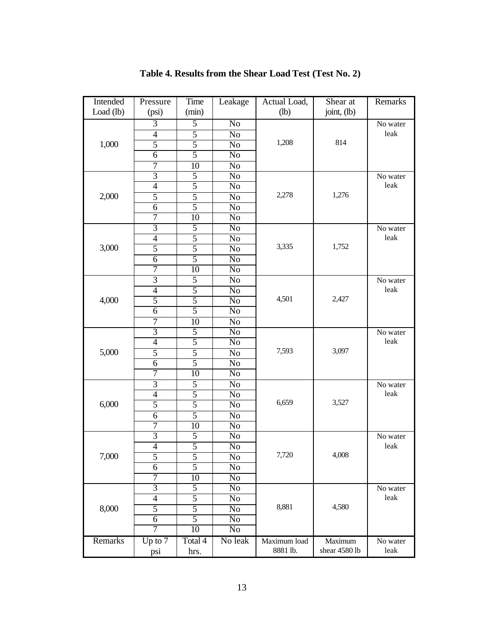| Intended  | Pressure                    | Time            | Leakage                | Actual Load, | Shear at      | Remarks  |
|-----------|-----------------------------|-----------------|------------------------|--------------|---------------|----------|
| Load (lb) | (psi)                       | (min)           |                        | $(lb)$       | joint, (lb)   |          |
| 1,000     | 3                           | 5               | N <sub>o</sub>         |              |               | No water |
|           | 4                           | 5               | N <sub>0</sub>         |              |               | leak     |
|           | 5                           | $\overline{5}$  | No                     | 1,208        | 814           |          |
|           | $\overline{6}$              | 5               | N <sub>o</sub>         |              |               |          |
|           | $\overline{7}$              | 10              | N <sub>0</sub>         |              |               |          |
|           | $\overline{3}$              | $\overline{5}$  | $\overline{No}$        |              |               | No water |
|           | $\overline{4}$              | $\overline{5}$  | $\overline{No}$        |              | 1,276         | leak     |
| 2,000     | 5                           | 5               | N <sub>0</sub>         | 2,278        |               |          |
|           | $\overline{6}$              | $\overline{5}$  | No                     |              |               |          |
|           | 7                           | 10              | N <sub>o</sub>         |              |               |          |
|           | $\overline{3}$              | 5               | N <sub>0</sub>         |              |               | No water |
|           | $\overline{4}$              | $\overline{5}$  | $\overline{No}$        |              | 1,752         | leak     |
| 3,000     | 5                           | $\overline{5}$  | $\overline{No}$        | 3,335        |               |          |
|           | 6                           | $\overline{5}$  | N <sub>0</sub>         |              |               |          |
|           | $\overline{7}$              | 10              | $\overline{No}$        |              |               |          |
| 4,000     | $\overline{3}$              | 5               | N <sub>o</sub>         |              |               | No water |
|           | $\overline{\mathcal{A}}$    | 5               | N <sub>0</sub>         |              |               | leak     |
|           | 5                           | 5               | $\overline{No}$        | 4,501        | 2,427         |          |
|           | $\overline{6}$              | $\overline{5}$  | $\overline{No}$        |              |               |          |
|           | $\overline{7}$              | 10              | No                     |              |               |          |
|           | $\overline{3}$              | 5               | No                     |              |               | No water |
|           | $\overline{4}$              | $\overline{5}$  | N <sub>o</sub>         |              |               | leak     |
| 5,000     | 5                           | 5               | N <sub>0</sub>         | 7,593        | 3,097         |          |
|           | $\overline{6}$              | $\overline{5}$  | $\overline{No}$        |              |               |          |
|           | 7                           | $\overline{10}$ | $\overline{No}$        |              |               |          |
|           | 3                           | 5               | N <sub>0</sub>         |              |               | No water |
|           | $\overline{4}$              | $\overline{5}$  | No                     |              |               | leak     |
| 6,000     | 5                           | 5               | N <sub>o</sub>         | 6,659        | 3,527         |          |
|           | 6                           | 5               | N <sub>0</sub>         |              |               |          |
|           | $\overline{7}$              | 10              | $\overline{No}$        |              |               |          |
|           | $\overline{3}$              | 5               | $\overline{No}$        |              |               | No water |
|           | $\overline{\mathcal{A}}$    | 5               | No                     |              |               | leak     |
| 7,000     | $\overline{5}$              | 5               | $\overline{\text{No}}$ | 7,720        | 4,008         |          |
|           | 6                           | $\overline{5}$  | No                     |              |               |          |
|           | 7                           | 10              | No                     |              |               |          |
| 8,000     | $\overline{3}$              | $\overline{5}$  | No                     |              |               | No water |
|           | $\overline{4}$              | 5               | N <sub>0</sub>         |              |               | leak     |
|           | $\overline{5}$              | 5               | No                     | 8,881        | 4,580         |          |
|           | 6                           | 5               | No                     |              |               |          |
|           | $\overline{7}$              | 10              | No                     |              |               |          |
| Remarks   | $\overline{\text{Up to 7}}$ | Total 4         | No leak                | Maximum load | Maximum       | No water |
|           | psi                         | hrs.            |                        | 8881 lb.     | shear 4580 lb | leak     |

**Table 4. Results from the Shear Load Test (Test No. 2)**